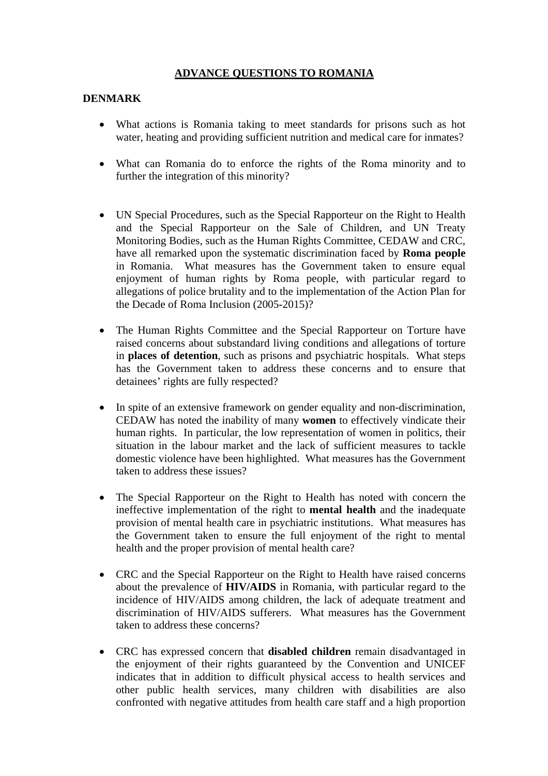# **ADVANCE QUESTIONS TO ROMANIA**

### **DENMARK**

- What actions is Romania taking to meet standards for prisons such as hot water, heating and providing sufficient nutrition and medical care for inmates?
- What can Romania do to enforce the rights of the Roma minority and to further the integration of this minority?
- UN Special Procedures, such as the Special Rapporteur on the Right to Health and the Special Rapporteur on the Sale of Children, and UN Treaty Monitoring Bodies, such as the Human Rights Committee, CEDAW and CRC, have all remarked upon the systematic discrimination faced by **Roma people** in Romania. What measures has the Government taken to ensure equal enjoyment of human rights by Roma people, with particular regard to allegations of police brutality and to the implementation of the Action Plan for the Decade of Roma Inclusion (2005-2015)?
- The Human Rights Committee and the Special Rapporteur on Torture have raised concerns about substandard living conditions and allegations of torture in **places of detention**, such as prisons and psychiatric hospitals. What steps has the Government taken to address these concerns and to ensure that detainees' rights are fully respected?
- In spite of an extensive framework on gender equality and non-discrimination, CEDAW has noted the inability of many **women** to effectively vindicate their human rights. In particular, the low representation of women in politics, their situation in the labour market and the lack of sufficient measures to tackle domestic violence have been highlighted. What measures has the Government taken to address these issues?
- The Special Rapporteur on the Right to Health has noted with concern the ineffective implementation of the right to **mental health** and the inadequate provision of mental health care in psychiatric institutions. What measures has the Government taken to ensure the full enjoyment of the right to mental health and the proper provision of mental health care?
- CRC and the Special Rapporteur on the Right to Health have raised concerns about the prevalence of **HIV/AIDS** in Romania, with particular regard to the incidence of HIV/AIDS among children, the lack of adequate treatment and discrimination of HIV/AIDS sufferers. What measures has the Government taken to address these concerns?
- CRC has expressed concern that **disabled children** remain disadvantaged in the enjoyment of their rights guaranteed by the Convention and UNICEF indicates that in addition to difficult physical access to health services and other public health services, many children with disabilities are also confronted with negative attitudes from health care staff and a high proportion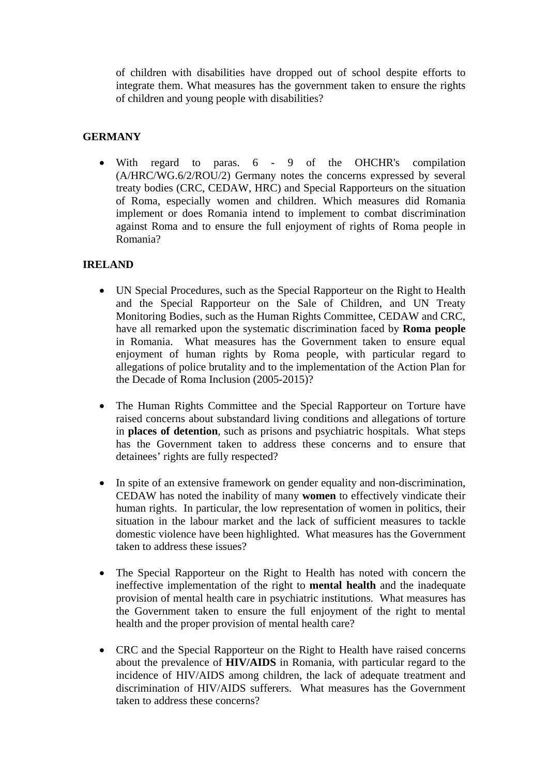of children with disabilities have dropped out of school despite efforts to integrate them. What measures has the government taken to ensure the rights of children and young people with disabilities?

# **GERMANY**

• With regard to paras. 6 - 9 of the OHCHR's compilation (A/HRC/WG.6/2/ROU/2) Germany notes the concerns expressed by several treaty bodies (CRC, CEDAW, HRC) and Special Rapporteurs on the situation of Roma, especially women and children. Which measures did Romania implement or does Romania intend to implement to combat discrimination against Roma and to ensure the full enjoyment of rights of Roma people in Romania?

## **IRELAND**

- UN Special Procedures, such as the Special Rapporteur on the Right to Health and the Special Rapporteur on the Sale of Children, and UN Treaty Monitoring Bodies, such as the Human Rights Committee, CEDAW and CRC, have all remarked upon the systematic discrimination faced by **Roma people** in Romania. What measures has the Government taken to ensure equal enjoyment of human rights by Roma people, with particular regard to allegations of police brutality and to the implementation of the Action Plan for the Decade of Roma Inclusion (2005-2015)?
- The Human Rights Committee and the Special Rapporteur on Torture have raised concerns about substandard living conditions and allegations of torture in **places of detention**, such as prisons and psychiatric hospitals. What steps has the Government taken to address these concerns and to ensure that detainees' rights are fully respected?
- In spite of an extensive framework on gender equality and non-discrimination, CEDAW has noted the inability of many **women** to effectively vindicate their human rights. In particular, the low representation of women in politics, their situation in the labour market and the lack of sufficient measures to tackle domestic violence have been highlighted. What measures has the Government taken to address these issues?
- The Special Rapporteur on the Right to Health has noted with concern the ineffective implementation of the right to **mental health** and the inadequate provision of mental health care in psychiatric institutions. What measures has the Government taken to ensure the full enjoyment of the right to mental health and the proper provision of mental health care?
- CRC and the Special Rapporteur on the Right to Health have raised concerns about the prevalence of **HIV/AIDS** in Romania, with particular regard to the incidence of HIV/AIDS among children, the lack of adequate treatment and discrimination of HIV/AIDS sufferers. What measures has the Government taken to address these concerns?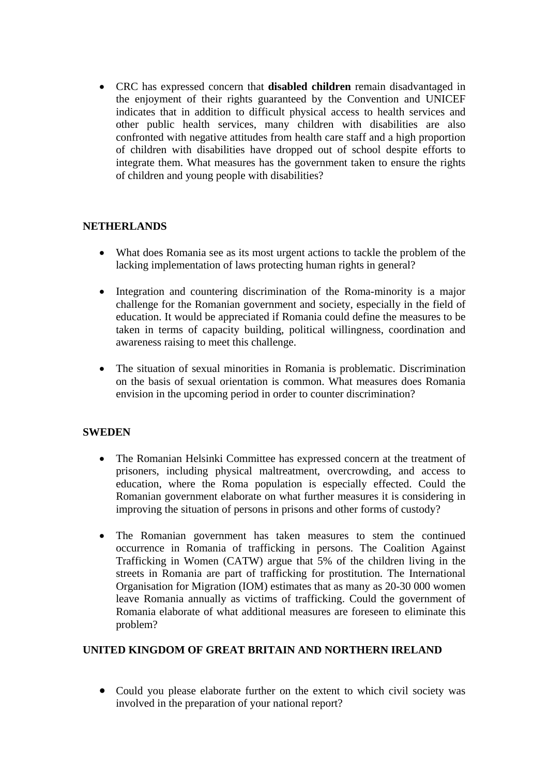• CRC has expressed concern that **disabled children** remain disadvantaged in the enjoyment of their rights guaranteed by the Convention and UNICEF indicates that in addition to difficult physical access to health services and other public health services, many children with disabilities are also confronted with negative attitudes from health care staff and a high proportion of children with disabilities have dropped out of school despite efforts to integrate them. What measures has the government taken to ensure the rights of children and young people with disabilities?

## **NETHERLANDS**

- What does Romania see as its most urgent actions to tackle the problem of the lacking implementation of laws protecting human rights in general?
- Integration and countering discrimination of the Roma-minority is a major challenge for the Romanian government and society, especially in the field of education. It would be appreciated if Romania could define the measures to be taken in terms of capacity building, political willingness, coordination and awareness raising to meet this challenge.
- The situation of sexual minorities in Romania is problematic. Discrimination on the basis of sexual orientation is common. What measures does Romania envision in the upcoming period in order to counter discrimination?

## **SWEDEN**

- The Romanian Helsinki Committee has expressed concern at the treatment of prisoners, including physical maltreatment, overcrowding, and access to education, where the Roma population is especially effected. Could the Romanian government elaborate on what further measures it is considering in improving the situation of persons in prisons and other forms of custody?
- The Romanian government has taken measures to stem the continued occurrence in Romania of trafficking in persons. The Coalition Against Trafficking in Women (CATW) argue that 5% of the children living in the streets in Romania are part of trafficking for prostitution. The International Organisation for Migration (IOM) estimates that as many as 20-30 000 women leave Romania annually as victims of trafficking. Could the government of Romania elaborate of what additional measures are foreseen to eliminate this problem?

## **UNITED KINGDOM OF GREAT BRITAIN AND NORTHERN IRELAND**

• Could you please elaborate further on the extent to which civil society was involved in the preparation of your national report?